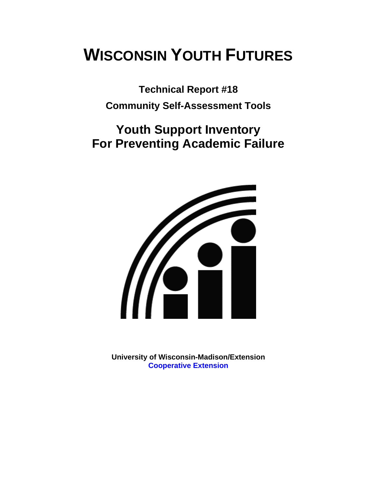# **WISCONSIN YOUTH FUTURES**

**Technical Report #18 Community Self-Assessment Tools** 

# **Youth Support Inventory For Preventing Academic Failure**



**University of Wisconsin-Madison/Extension [Cooperative Extension](http://www1.uwex.edu/ces/index.cfm)**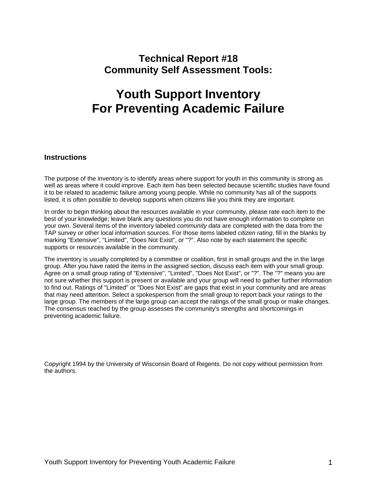## **Technical Report #18 Community Self Assessment Tools:**

# **Youth Support Inventory For Preventing Academic Failure**

#### **Instructions**

The purpose of the inventory is to identify areas where support for youth in this community is strong as well as areas where it could improve. Each item has been selected because scientific studies have found it to be related to academic failure among young people. While no community has all of the supports listed, it is often possible to develop supports when citizens like you think they are important.

In order to begin thinking about the resources available in your community, please rate each item to the best of your knowledge; leave blank any questions you do not have enough information to complete on your own. Several items of the inventory labeled *community data* are completed with the data from the TAP survey or other local information sources. For those items labeled *citizen rating*, fill in the blanks by marking "Extensive", "Limited", "Does Not Exist", or "?". Also note by each statement the specific supports or resources available in the community.

The inventory is usually completed by a committee or coalition, first in small groups and the in the large group. After you have rated the items in the assigned section, discuss each item with your small group. Agree on a small group rating of "Extensive", "Limited", "Does Not Exist", or "?". The "?" means you are not sure whether this support is present or available and your group will need to gather further information to find out. Ratings of "Limited" or "Does Not Exist" are gaps that exist in your community and are areas that may need attention. Select a spokesperson from the small group to report back your ratings to the large group. The members of the large group can accept the ratings of the small group or make changes. The consensus reached by the group assesses the community's strengths and shortcomings in preventing academic failure.

Copyright 1994 by the University of Wisconsin Board of Regents. Do not copy without permission from the authors.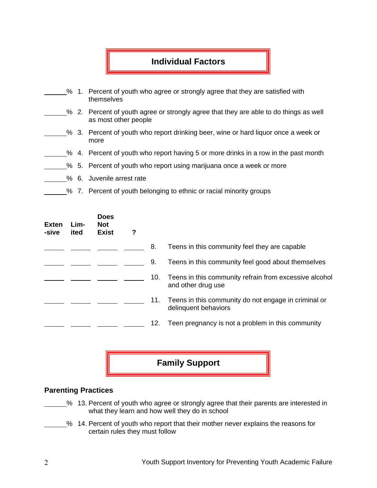### **Individual Factors**

- % 1. Percent of youth who agree or strongly agree that they are satisfied with themselves
- % 2. Percent of youth agree or strongly agree that they are able to do things as well as most other people
- % 3. Percent of youth who report drinking beer, wine or hard liquor once a week or more
- % 4. Percent of youth who report having 5 or more drinks in a row in the past month
- % 5. Percent of youth who report using marijuana once a week or more
- % 6. Juvenile arrest rate
	- % 7. Percent of youth belonging to ethnic or racial minority groups

| <b>Exten</b><br>-sive | Lim-<br>ited | <b>Does</b><br><b>Not</b><br><b>Exist</b> | ? |     |                                                                              |
|-----------------------|--------------|-------------------------------------------|---|-----|------------------------------------------------------------------------------|
|                       |              |                                           |   | 8.  | Teens in this community feel they are capable                                |
|                       |              |                                           |   | 9.  | Teens in this community feel good about themselves                           |
|                       |              |                                           |   | 10. | Teens in this community refrain from excessive alcohol<br>and other drug use |
|                       |              |                                           |   | 11. | Teens in this community do not engage in criminal or<br>delinquent behaviors |
|                       |              |                                           |   | 12. | Teen pregnancy is not a problem in this community                            |

**Family Support** 

#### **Parenting Practices**

- % 13. Percent of youth who agree or strongly agree that their parents are interested in what they learn and how well they do in school
- % 14. Percent of youth who report that their mother never explains the reasons for certain rules they must follow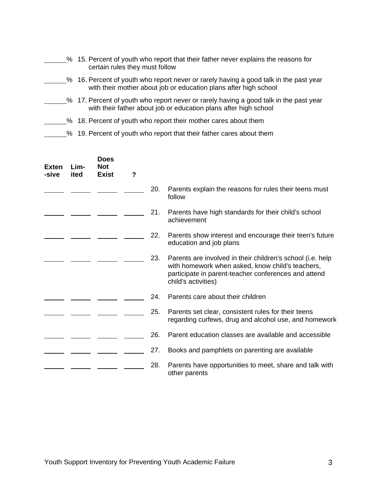- % 15. Percent of youth who report that their father never explains the reasons for certain rules they must follow
- <sup>26</sup> 16. Percent of youth who report never or rarely having a good talk in the past year with their mother about job or education plans after high school
- 5% 17. Percent of youth who report never or rarely having a good talk in the past year with their father about job or education plans after high school
- % 18. Percent of youth who report their mother cares about them
- 5% 19. Percent of youth who report that their father cares about them

| <b>Exten</b><br>-sive | Lim-<br>ited | <b>Does</b><br><b>Not</b><br><b>Exist</b> | ? |     |                                                                                                                                                                                               |
|-----------------------|--------------|-------------------------------------------|---|-----|-----------------------------------------------------------------------------------------------------------------------------------------------------------------------------------------------|
|                       |              |                                           |   | 20. | Parents explain the reasons for rules their teens must<br>follow                                                                                                                              |
|                       |              |                                           |   | 21. | Parents have high standards for their child's school<br>achievement                                                                                                                           |
|                       |              |                                           |   | 22. | Parents show interest and encourage their teen's future<br>education and job plans                                                                                                            |
|                       |              |                                           |   | 23. | Parents are involved in their children's school (i.e. help<br>with homework when asked, know child's teachers,<br>participate in parent-teacher conferences and attend<br>child's activities) |
|                       |              |                                           |   | 24. | Parents care about their children                                                                                                                                                             |
|                       |              |                                           |   | 25. | Parents set clear, consistent rules for their teens<br>regarding curfews, drug and alcohol use, and homework                                                                                  |
|                       |              |                                           |   | 26. | Parent education classes are available and accessible                                                                                                                                         |
|                       |              |                                           |   | 27. | Books and pamphlets on parenting are available                                                                                                                                                |
|                       |              |                                           |   | 28. | Parents have opportunities to meet, share and talk with<br>other parents                                                                                                                      |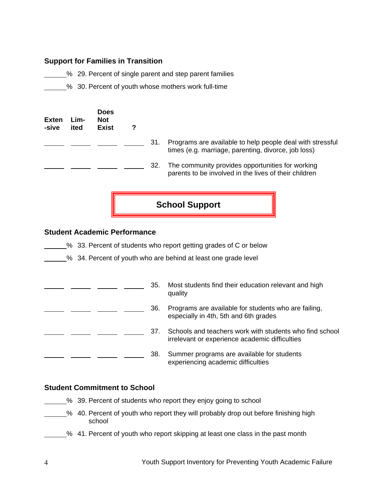#### **Support for Families in Transition**

5% 29. Percent of single parent and step parent families

**6. 20. Percent of youth whose mothers work full-time** 

| <b>Exten</b><br>-sive | Lim-<br>ited | <b>Does</b><br><b>Not</b><br><b>Exist</b> | 7 |     |                                                                                                                  |
|-----------------------|--------------|-------------------------------------------|---|-----|------------------------------------------------------------------------------------------------------------------|
|                       |              |                                           |   | 31. | Programs are available to help people deal with stressful<br>times (e.g. marriage, parenting, divorce, job loss) |
|                       |              |                                           |   | 32. | The community provides opportunities for working<br>parents to be involved in the lives of their children        |

**School Support** 

#### **Student Academic Performance**

<sup>26</sup> 33. Percent of students who report getting grades of C or below

% 34. Percent of youth who are behind at least one grade level

|  |  | 35. | Most students find their education relevant and high<br>quality                                           |
|--|--|-----|-----------------------------------------------------------------------------------------------------------|
|  |  | 36. | Programs are available for students who are failing,<br>especially in 4th, 5th and 6th grades             |
|  |  | 37. | Schools and teachers work with students who find school<br>irrelevant or experience academic difficulties |
|  |  | 38. | Summer programs are available for students<br>experiencing academic difficulties                          |

#### **Student Commitment to School**

% 39. Percent of students who report they enjoy going to school

- \_% 40. Percent of youth who report they will probably drop out before finishing high school
	- \_% 41. Percent of youth who report skipping at least one class in the past month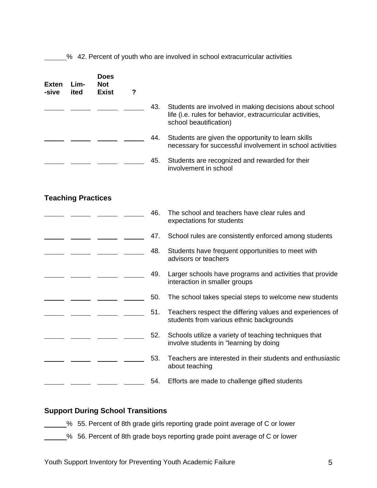<sup>2</sup>% 42. Percent of youth who are involved in school extracurricular activities

| Exten<br>-sive | Lim-<br>ited              | <b>Does</b><br>Not<br><b>Exist</b> | $\overline{\mathbf{?}}$ |     |                                                                                                                                                |
|----------------|---------------------------|------------------------------------|-------------------------|-----|------------------------------------------------------------------------------------------------------------------------------------------------|
|                |                           |                                    |                         | 43. | Students are involved in making decisions about school<br>life (i.e. rules for behavior, extracurricular activities,<br>school beautification) |
|                |                           |                                    |                         | 44. | Students are given the opportunity to learn skills<br>necessary for successful involvement in school activities                                |
|                |                           |                                    |                         | 45. | Students are recognized and rewarded for their<br>involvement in school                                                                        |
|                | <b>Teaching Practices</b> |                                    |                         |     |                                                                                                                                                |
|                |                           |                                    |                         | 46. | The school and teachers have clear rules and<br>expectations for students                                                                      |
|                |                           |                                    |                         | 47. | School rules are consistently enforced among students                                                                                          |
|                |                           |                                    |                         | 48. | Students have frequent opportunities to meet with<br>advisors or teachers                                                                      |
|                |                           |                                    |                         | 49. | Larger schools have programs and activities that provide<br>interaction in smaller groups                                                      |
|                |                           |                                    |                         | 50. | The school takes special steps to welcome new students                                                                                         |
|                |                           |                                    |                         | 51. | Teachers respect the differing values and experiences of<br>students from various ethnic backgrounds                                           |
|                |                           |                                    |                         | 52. | Schools utilize a variety of teaching techniques that<br>involve students in "learning by doing                                                |
|                |                           |                                    |                         | 53. | Teachers are interested in their students and enthusiastic<br>about teaching                                                                   |
|                |                           |                                    |                         | 54. | Efforts are made to challenge gifted students                                                                                                  |

#### **Support During School Transitions**

- % 55. Percent of 8th grade girls reporting grade point average of C or lower
- % 56. Percent of 8th grade boys reporting grade point average of C or lower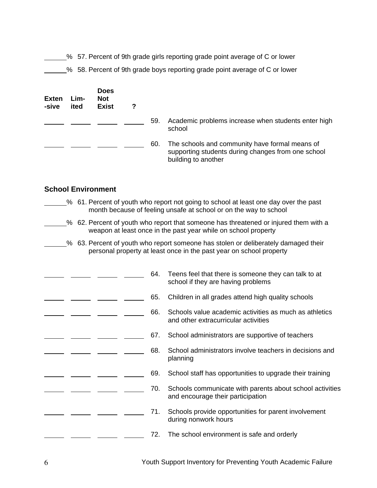% 57. Percent of 9th grade girls reporting grade point average of C or lower

<sup>26</sup> 58. Percent of 9th grade boys reporting grade point average of C or lower

| <b>Exten</b><br>-sive | Lim-<br>ited | Does<br><b>Not</b><br><b>Exist</b> |     |                                                                                                                             |
|-----------------------|--------------|------------------------------------|-----|-----------------------------------------------------------------------------------------------------------------------------|
|                       |              |                                    | 59. | Academic problems increase when students enter high<br>school                                                               |
|                       |              |                                    | 60. | The schools and community have formal means of<br>supporting students during changes from one school<br>building to another |

#### **School Environment**

- % 61. Percent of youth who report not going to school at least one day over the past month because of feeling unsafe at school or on the way to school
- <sup>26</sup> 62. Percent of youth who report that someone has threatened or injured them with a weapon at least once in the past year while on school property
- % 63. Percent of youth who report someone has stolen or deliberately damaged their personal property at least once in the past year on school property

|  |  | 64. | Teens feel that there is someone they can talk to at<br>school if they are having problems     |
|--|--|-----|------------------------------------------------------------------------------------------------|
|  |  | 65. | Children in all grades attend high quality schools                                             |
|  |  | 66. | Schools value academic activities as much as athletics<br>and other extracurricular activities |
|  |  | 67. | School administrators are supportive of teachers                                               |
|  |  | 68. | School administrators involve teachers in decisions and<br>planning                            |
|  |  | 69. | School staff has opportunities to upgrade their training                                       |
|  |  | 70. | Schools communicate with parents about school activities<br>and encourage their participation  |
|  |  | 71. | Schools provide opportunities for parent involvement<br>during nonwork hours                   |
|  |  | 72. | The school environment is safe and orderly                                                     |
|  |  |     |                                                                                                |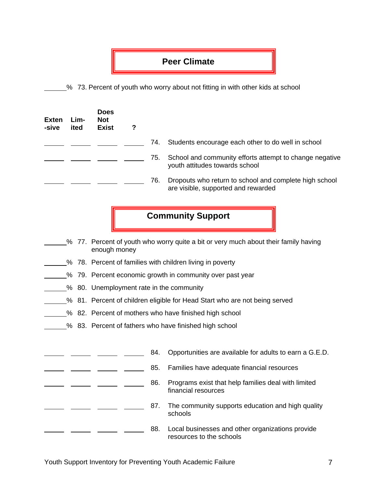### **Peer Climate**

% 73. Percent of youth who worry about not fitting in with other kids at school

| <b>Exten</b><br>-sive | Lim-<br>ited | <b>Does</b><br><b>Not</b><br><b>Exist</b> | ? |     |                                                                                               |
|-----------------------|--------------|-------------------------------------------|---|-----|-----------------------------------------------------------------------------------------------|
|                       |              |                                           |   | 74. | Students encourage each other to do well in school                                            |
|                       |              |                                           |   | 75. | School and community efforts attempt to change negative<br>youth attitudes towards school     |
|                       |              |                                           |   | 76. | Dropouts who return to school and complete high school<br>are visible, supported and rewarded |

# **Community Support**

- % 77. Percent of youth who worry quite a bit or very much about their family having enough money
- % 78. Percent of families with children living in poverty
- <sup>%</sup> 79. Percent economic growth in community over past year
- % 80. Unemployment rate in the community
- <sup>26</sup> 81. Percent of children eligible for Head Start who are not being served
- 5% 82. Percent of mothers who have finished high school
- % 83. Percent of fathers who have finished high school

|  |  | 84. | Opportunities are available for adults to earn a G.E.D.                      |
|--|--|-----|------------------------------------------------------------------------------|
|  |  | 85. | Families have adequate financial resources                                   |
|  |  | 86. | Programs exist that help families deal with limited<br>financial resources   |
|  |  | 87. | The community supports education and high quality<br>schools                 |
|  |  | 88. | Local businesses and other organizations provide<br>resources to the schools |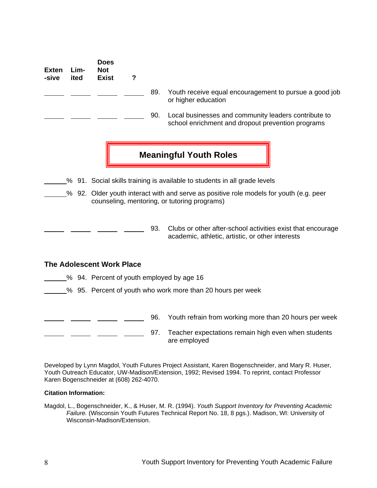|                                                                                                                                        | <b>Not</b><br><b>Exist</b> | ? |                           |                                                                                                                 |
|----------------------------------------------------------------------------------------------------------------------------------------|----------------------------|---|---------------------------|-----------------------------------------------------------------------------------------------------------------|
|                                                                                                                                        |                            |   | 89.                       | Youth receive equal encouragement to pursue a good job<br>or higher education                                   |
|                                                                                                                                        |                            |   | 90.                       | Local businesses and community leaders contribute to<br>school enrichment and dropout prevention programs       |
|                                                                                                                                        |                            |   |                           | <b>Meaningful Youth Roles</b>                                                                                   |
|                                                                                                                                        |                            |   |                           | % 91. Social skills training is available to students in all grade levels                                       |
| % 92. Older youth interact with and serve as positive role models for youth (e.g. peer<br>counseling, mentoring, or tutoring programs) |                            |   |                           |                                                                                                                 |
|                                                                                                                                        |                            |   | 93.                       | Clubs or other after-school activities exist that encourage<br>academic, athletic, artistic, or other interests |
|                                                                                                                                        |                            |   |                           |                                                                                                                 |
|                                                                                                                                        |                            |   |                           |                                                                                                                 |
|                                                                                                                                        |                            |   |                           | % 95. Percent of youth who work more than 20 hours per week                                                     |
|                                                                                                                                        | Lim-<br>ited               |   | The Adolescent Work Place | % 94. Percent of youth employed by age 16                                                                       |

**120. [20]** 96. Youth refrain from working more than 20 hours per week  $\overline{a}$  and  $\overline{a}$ 97. Teacher expectations remain high even when students are employed

Developed by Lynn Magdol, Youth Futures Project Assistant, Karen Bogenschneider, and Mary R. Huser, Youth Outreach Educator, UW-Madison/Extension, 1992; Revised 1994. To reprint, contact Professor Karen Bogenschneider at (608) 262-4070.

#### **Citation Information:**

**Does** 

Magdol, L., Bogenschneider, K., & Huser, M. R. (1994). *Youth Support Inventory for Preventing Academic Failure.* (Wisconsin Youth Futures Technical Report No. 18, 8 pgs.). Madison, WI: University of Wisconsin-Madison/Extension.